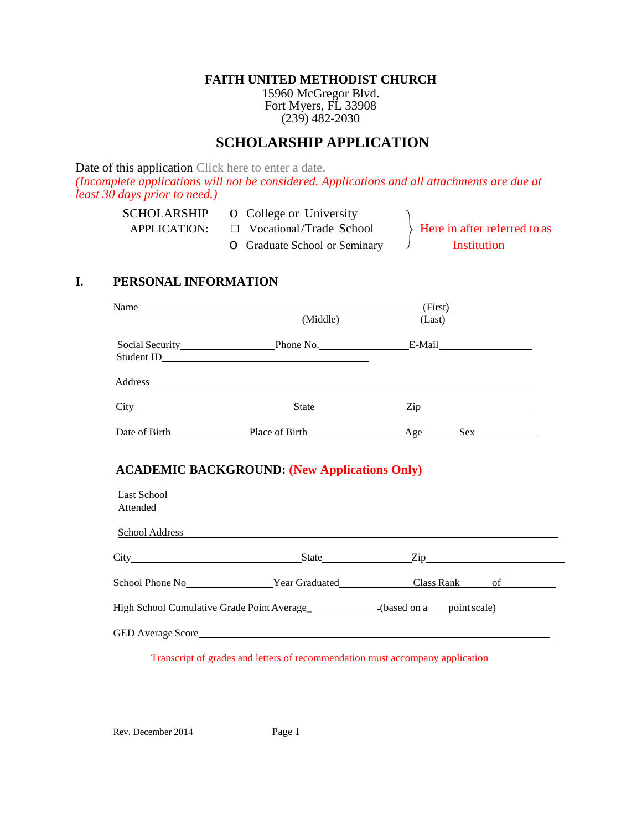#### **FAITH UNITED METHODIST CHURCH**

15960 McGregor Blvd. Fort Myers, FL 33908 (239) 482-2030

# **SCHOLARSHIP APPLICATION**

Date of this application Click here to enter a date.

*(Incomplete applications will not be considered. Applications and all attachments are due at least 30 days prior to need.)*

| <b>SCHOLARSHIP</b> | <b>O</b> College or University       |                              |
|--------------------|--------------------------------------|------------------------------|
| APPLICATION:       | $\Box$ Vocational/Trade School       | Here in after referred to as |
|                    | <b>O</b> Graduate School or Seminary | Institution                  |

### **I. PERSONAL INFORMATION**

|                    | Name (First) (First) (First) (First) (First) (First) (First) (First) (First) (First) (First) (First) (First) (First) (First) (First) (First) (First) (First) (First) (First) (First) (First) (First) (First) (First) (First) (                                                        |                                         |  |  |  |  |
|--------------------|---------------------------------------------------------------------------------------------------------------------------------------------------------------------------------------------------------------------------------------------------------------------------------------|-----------------------------------------|--|--|--|--|
|                    | (Middle)                                                                                                                                                                                                                                                                              | (Last)                                  |  |  |  |  |
|                    |                                                                                                                                                                                                                                                                                       | Social Security Phone No. E-Mail E-Mail |  |  |  |  |
|                    |                                                                                                                                                                                                                                                                                       |                                         |  |  |  |  |
|                    |                                                                                                                                                                                                                                                                                       | City State Zip                          |  |  |  |  |
|                    |                                                                                                                                                                                                                                                                                       |                                         |  |  |  |  |
| <b>Last School</b> | <b>ACADEMIC BACKGROUND: (New Applications Only)</b><br>Attended and the contract of the contract of the contract of the contract of the contract of the contract of the contract of the contract of the contract of the contract of the contract of the contract of the contract of t | <u>School Address</u>                   |  |  |  |  |
|                    |                                                                                                                                                                                                                                                                                       | City State Zip                          |  |  |  |  |
|                    |                                                                                                                                                                                                                                                                                       |                                         |  |  |  |  |
|                    | High School Cumulative Grade Point Average<br>________________(based on a____point scale)                                                                                                                                                                                             |                                         |  |  |  |  |
|                    |                                                                                                                                                                                                                                                                                       |                                         |  |  |  |  |

Transcript of grades and letters of recommendation must accompany application

Rev. December 2014 Page 1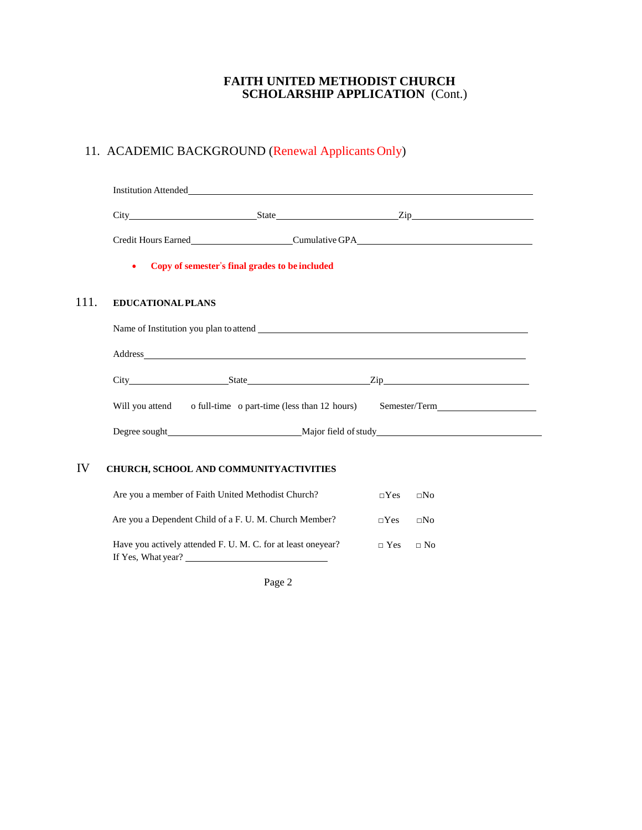#### **FAITH UNITED METHODIST CHURCH SCHOLARSHIP APPLICATION** (Cont.)

## 11. ACADEMIC BACKGROUND (Renewal Applicants Only)

|      |                                                             | <b>Institution Attended</b>                                                                          |            |              |  |  |  |  |  |  |
|------|-------------------------------------------------------------|------------------------------------------------------------------------------------------------------|------------|--------------|--|--|--|--|--|--|
|      |                                                             | City State Zip Zip                                                                                   |            |              |  |  |  |  |  |  |
|      |                                                             |                                                                                                      |            |              |  |  |  |  |  |  |
|      | Copy of semester's final grades to be included<br>$\bullet$ |                                                                                                      |            |              |  |  |  |  |  |  |
| 111. | <b>EDUCATIONAL PLANS</b>                                    |                                                                                                      |            |              |  |  |  |  |  |  |
|      |                                                             |                                                                                                      |            |              |  |  |  |  |  |  |
|      |                                                             |                                                                                                      |            |              |  |  |  |  |  |  |
|      |                                                             |                                                                                                      |            |              |  |  |  |  |  |  |
|      |                                                             | Will you attend o full-time o part-time (less than 12 hours) Semester/Term__________________________ |            |              |  |  |  |  |  |  |
|      |                                                             |                                                                                                      |            |              |  |  |  |  |  |  |
| IV   |                                                             | CHURCH, SCHOOL AND COMMUNITYACTIVITIES                                                               |            |              |  |  |  |  |  |  |
|      |                                                             | Are you a member of Faith United Methodist Church?                                                   | $\Box$ Yes | $\square$ No |  |  |  |  |  |  |
|      |                                                             | Are you a Dependent Child of a F. U. M. Church Member?                                               | $\neg$ Yes | $\square$ No |  |  |  |  |  |  |
|      |                                                             | Have you actively attended F. U. M. C. for at least oneyear?<br>If Yes, What year?                   | $\Box$ Yes | $\Box$ No    |  |  |  |  |  |  |

Page 2